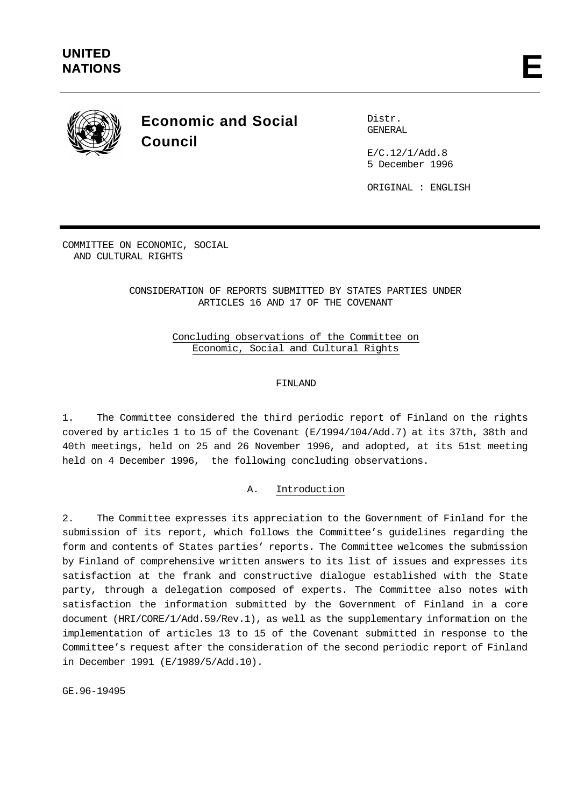

# **Economic and Social Council**

Distr. GENERAL

 $E/C.12/1/Add.8$ 5 December 1996

ORIGINAL : ENGLISH

COMMITTEE ON ECONOMIC, SOCIAL AND CULTURAL RIGHTS

> CONSIDERATION OF REPORTS SUBMITTED BY STATES PARTIES UNDER ARTICLES 16 AND 17 OF THE COVENANT

> > Concluding observations of the Committee on Economic, Social and Cultural Rights

# FINLAND

1. The Committee considered the third periodic report of Finland on the rights covered by articles 1 to 15 of the Covenant (E/1994/104/Add.7) at its 37th, 38th and 40th meetings, held on 25 and 26 November 1996, and adopted, at its 51st meeting held on 4 December 1996, the following concluding observations.

# A. Introduction

2. The Committee expresses its appreciation to the Government of Finland for the submission of its report, which follows the Committee's guidelines regarding the form and contents of States parties' reports. The Committee welcomes the submission by Finland of comprehensive written answers to its list of issues and expresses its satisfaction at the frank and constructive dialogue established with the State party, through a delegation composed of experts. The Committee also notes with satisfaction the information submitted by the Government of Finland in a core document (HRI/CORE/1/Add.59/Rev.1), as well as the supplementary information on the implementation of articles 13 to 15 of the Covenant submitted in response to the Committee's request after the consideration of the second periodic report of Finland in December 1991 (E/1989/5/Add.10).

GE.96-19495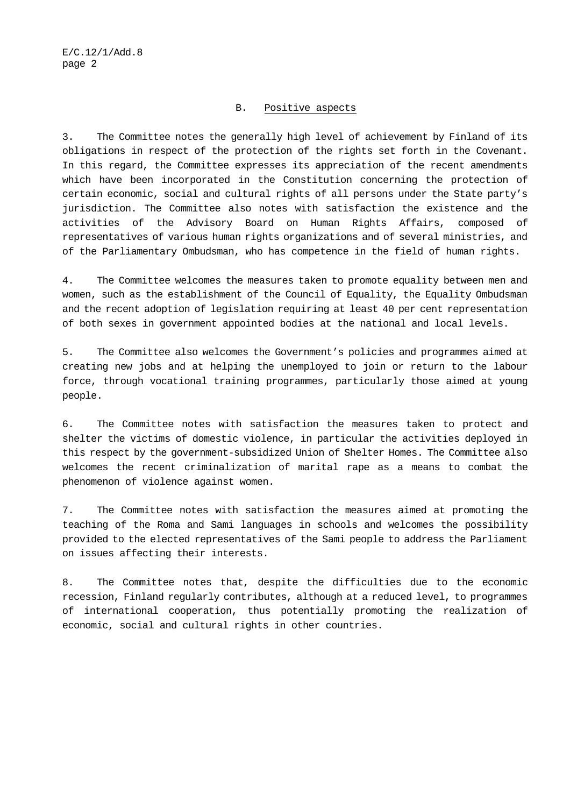#### B. Positive aspects

3. The Committee notes the generally high level of achievement by Finland of its obligations in respect of the protection of the rights set forth in the Covenant. In this regard, the Committee expresses its appreciation of the recent amendments which have been incorporated in the Constitution concerning the protection of certain economic, social and cultural rights of all persons under the State party's jurisdiction. The Committee also notes with satisfaction the existence and the activities of the Advisory Board on Human Rights Affairs, composed of representatives of various human rights organizations and of several ministries, and of the Parliamentary Ombudsman, who has competence in the field of human rights.

4. The Committee welcomes the measures taken to promote equality between men and women, such as the establishment of the Council of Equality, the Equality Ombudsman and the recent adoption of legislation requiring at least 40 per cent representation of both sexes in government appointed bodies at the national and local levels.

5. The Committee also welcomes the Government's policies and programmes aimed at creating new jobs and at helping the unemployed to join or return to the labour force, through vocational training programmes, particularly those aimed at young people.

6. The Committee notes with satisfaction the measures taken to protect and shelter the victims of domestic violence, in particular the activities deployed in this respect by the government-subsidized Union of Shelter Homes. The Committee also welcomes the recent criminalization of marital rape as a means to combat the phenomenon of violence against women.

7. The Committee notes with satisfaction the measures aimed at promoting the teaching of the Roma and Sami languages in schools and welcomes the possibility provided to the elected representatives of the Sami people to address the Parliament on issues affecting their interests.

8. The Committee notes that, despite the difficulties due to the economic recession, Finland regularly contributes, although at a reduced level, to programmes of international cooperation, thus potentially promoting the realization of economic, social and cultural rights in other countries.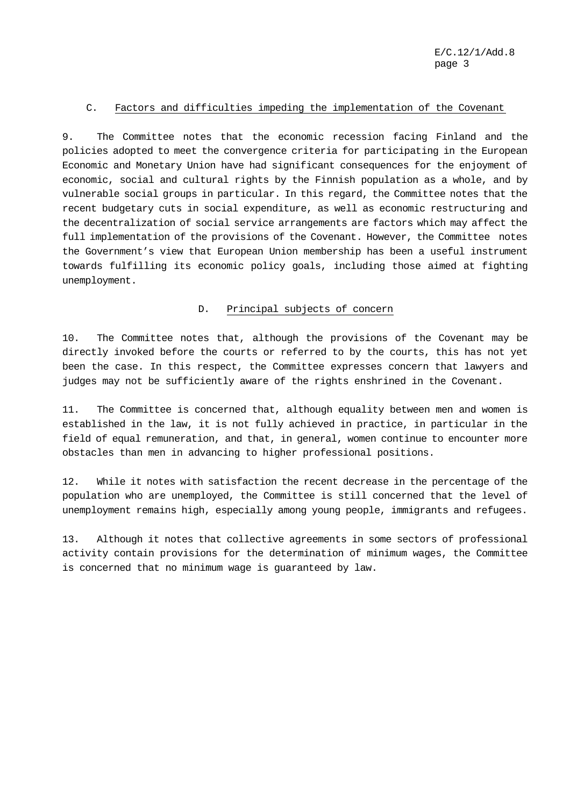# C. Factors and difficulties impeding the implementation of the Covenant

9. The Committee notes that the economic recession facing Finland and the policies adopted to meet the convergence criteria for participating in the European Economic and Monetary Union have had significant consequences for the enjoyment of economic, social and cultural rights by the Finnish population as a whole, and by vulnerable social groups in particular. In this regard, the Committee notes that the recent budgetary cuts in social expenditure, as well as economic restructuring and the decentralization of social service arrangements are factors which may affect the full implementation of the provisions of the Covenant. However, the Committee notes the Government's view that European Union membership has been a useful instrument towards fulfilling its economic policy goals, including those aimed at fighting unemployment.

# D. Principal subjects of concern

10. The Committee notes that, although the provisions of the Covenant may be directly invoked before the courts or referred to by the courts, this has not yet been the case. In this respect, the Committee expresses concern that lawyers and judges may not be sufficiently aware of the rights enshrined in the Covenant.

11. The Committee is concerned that, although equality between men and women is established in the law, it is not fully achieved in practice, in particular in the field of equal remuneration, and that, in general, women continue to encounter more obstacles than men in advancing to higher professional positions.

12. While it notes with satisfaction the recent decrease in the percentage of the population who are unemployed, the Committee is still concerned that the level of unemployment remains high, especially among young people, immigrants and refugees.

13. Although it notes that collective agreements in some sectors of professional activity contain provisions for the determination of minimum wages, the Committee is concerned that no minimum wage is guaranteed by law.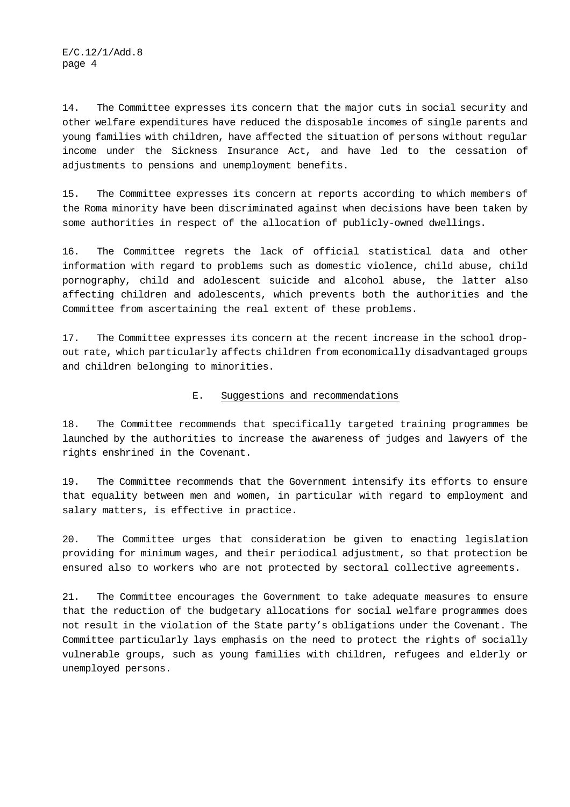14. The Committee expresses its concern that the major cuts in social security and other welfare expenditures have reduced the disposable incomes of single parents and young families with children, have affected the situation of persons without regular income under the Sickness Insurance Act, and have led to the cessation of adjustments to pensions and unemployment benefits.

15. The Committee expresses its concern at reports according to which members of the Roma minority have been discriminated against when decisions have been taken by some authorities in respect of the allocation of publicly-owned dwellings.

16. The Committee regrets the lack of official statistical data and other information with regard to problems such as domestic violence, child abuse, child pornography, child and adolescent suicide and alcohol abuse, the latter also affecting children and adolescents, which prevents both the authorities and the Committee from ascertaining the real extent of these problems.

17. The Committee expresses its concern at the recent increase in the school dropout rate, which particularly affects children from economically disadvantaged groups and children belonging to minorities.

# E. Suggestions and recommendations

18. The Committee recommends that specifically targeted training programmes be launched by the authorities to increase the awareness of judges and lawyers of the rights enshrined in the Covenant.

19. The Committee recommends that the Government intensify its efforts to ensure that equality between men and women, in particular with regard to employment and salary matters, is effective in practice.

20. The Committee urges that consideration be given to enacting legislation providing for minimum wages, and their periodical adjustment, so that protection be ensured also to workers who are not protected by sectoral collective agreements.

21. The Committee encourages the Government to take adequate measures to ensure that the reduction of the budgetary allocations for social welfare programmes does not result in the violation of the State party's obligations under the Covenant. The Committee particularly lays emphasis on the need to protect the rights of socially vulnerable groups, such as young families with children, refugees and elderly or unemployed persons.